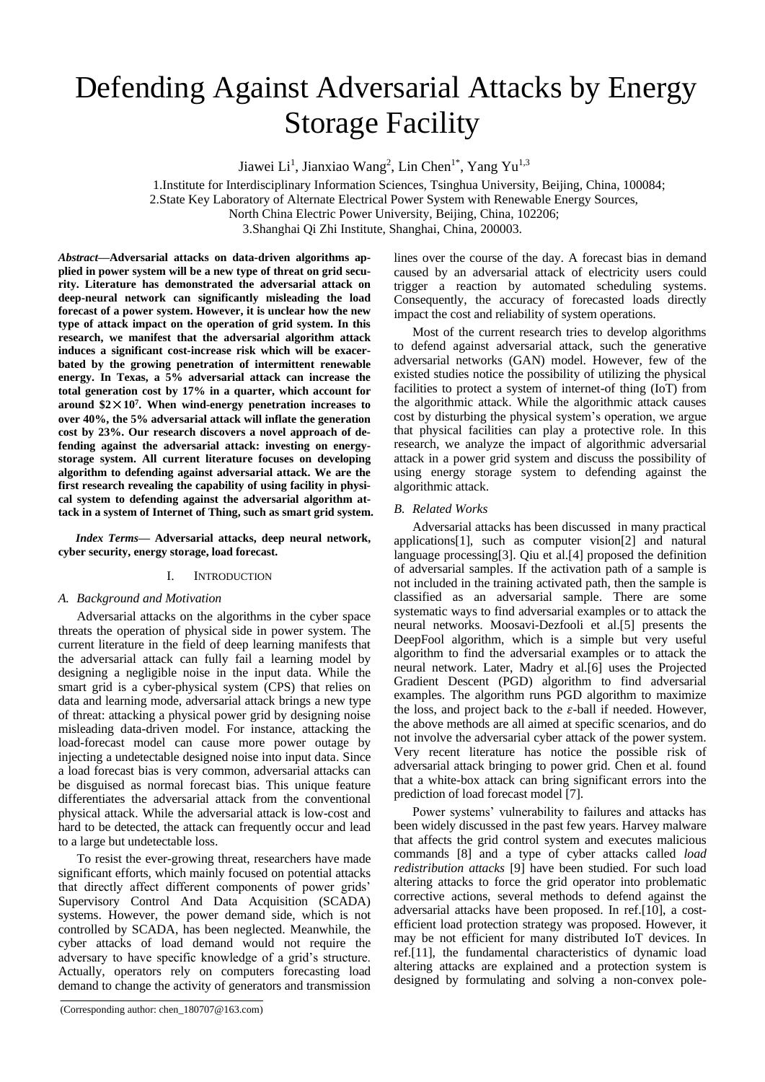# Defending Against Adversarial Attacks by Energy Storage Facility

Jiawei Li<sup>1</sup>, Jianxiao Wang<sup>2</sup>, Lin Chen<sup>1\*</sup>, Yang Yu<sup>1,3</sup>

1.Institute for Interdisciplinary Information Sciences, Tsinghua University, Beijing, China, 100084;

2.State Key Laboratory of Alternate Electrical Power System with Renewable Energy Sources,

North China Electric Power University, Beijing, China, 102206;

3.Shanghai Qi Zhi Institute, Shanghai, China, 200003.

*Abstract***—Adversarial attacks on data-driven algorithms applied in power system will be a new type of threat on grid security. Literature has demonstrated the adversarial attack on deep-neural network can significantly misleading the load forecast of a power system. However, it is unclear how the new type of attack impact on the operation of grid system. In this research, we manifest that the adversarial algorithm attack induces a significant cost-increase risk which will be exacerbated by the growing penetration of intermittent renewable energy. In Texas, a 5% adversarial attack can increase the total generation cost by 17% in a quarter, which account for**  around  $$2 \times 10^7$ . When wind-energy penetration increases to **over 40%, the 5% adversarial attack will inflate the generation cost by 23%. Our research discovers a novel approach of defending against the adversarial attack: investing on energystorage system. All current literature focuses on developing algorithm to defending against adversarial attack. We are the first research revealing the capability of using facility in physical system to defending against the adversarial algorithm attack in a system of Internet of Thing, such as smart grid system.** 

*Index Terms—* **Adversarial attacks, deep neural network, cyber security, energy storage, load forecast.**

## I. INTRODUCTION

## *A. Background and Motivation*

Adversarial attacks on the algorithms in the cyber space threats the operation of physical side in power system. The current literature in the field of deep learning manifests that the adversarial attack can fully fail a learning model by designing a negligible noise in the input data. While the smart grid is a cyber-physical system (CPS) that relies on data and learning mode, adversarial attack brings a new type of threat: attacking a physical power grid by designing noise misleading data-driven model. For instance, attacking the load-forecast model can cause more power outage by injecting a undetectable designed noise into input data. Since a load forecast bias is very common, adversarial attacks can be disguised as normal forecast bias. This unique feature differentiates the adversarial attack from the conventional physical attack. While the adversarial attack is low-cost and hard to be detected, the attack can frequently occur and lead to a large but undetectable loss.

To resist the ever-growing threat, researchers have made significant efforts, which mainly focused on potential attacks that directly affect different components of power grids' Supervisory Control And Data Acquisition (SCADA) systems. However, the power demand side, which is not controlled by SCADA, has been neglected. Meanwhile, the cyber attacks of load demand would not require the adversary to have specific knowledge of a grid's structure. Actually, operators rely on computers forecasting load demand to change the activity of generators and transmission

(Corresponding author: chen\_180707@163.com)

lines over the course of the day. A forecast bias in demand caused by an adversarial attack of electricity users could trigger a reaction by automated scheduling systems. Consequently, the accuracy of forecasted loads directly impact the cost and reliability of system operations.

Most of the current research tries to develop algorithms to defend against adversarial attack, such the generative adversarial networks (GAN) model. However, few of the existed studies notice the possibility of utilizing the physical facilities to protect a system of internet-of thing (IoT) from the algorithmic attack. While the algorithmic attack causes cost by disturbing the physical system's operation, we argue that physical facilities can play a protective role. In this research, we analyze the impact of algorithmic adversarial attack in a power grid system and discuss the possibility of using energy storage system to defending against the algorithmic attack.

## *B. Related Works*

Adversarial attacks has been discussed in many practical application[s\[1\],](#page-4-0) such as computer visio[n\[2\]](#page-4-1) and natural language processin[g\[3\].](#page-4-2) Qiu et a[l.\[4\]](#page-4-3) proposed the definition of adversarial samples. If the activation path of a sample is not included in the training activated path, then the sample is classified as an adversarial sample. There are some systematic ways to find adversarial examples or to attack the neural networks. Moosavi-Dezfooli et a[l.\[5\]](#page-4-4) presents the DeepFool algorithm, which is a simple but very useful algorithm to find the adversarial examples or to attack the neural network. Later, Madry et al[.\[6\]](#page-4-5) uses the Projected Gradient Descent (PGD) algorithm to find adversarial examples. The algorithm runs PGD algorithm to maximize the loss, and project back to the  $\varepsilon$ -ball if needed. However, the above methods are all aimed at specific scenarios, and do not involve the adversarial cyber attack of the power system. Very recent literature has notice the possible risk of adversarial attack bringing to power grid. Chen et al. found that a white-box attack can bring significant errors into the prediction of load forecast model [\[7\].](#page-4-6)

Power systems' vulnerability to failures and attacks has been widely discussed in the past few years. Harvey malware that affects the grid control system and executes malicious commands [\[8\]](#page-4-7) and a type of cyber attacks called *load redistribution attacks* [\[9\]](#page-4-8) have been studied. For such load altering attacks to force the grid operator into problematic corrective actions, several methods to defend against the adversarial attacks have been proposed. In ref[.\[10\],](#page-4-9) a costefficient load protection strategy was proposed. However, it may be not efficient for many distributed IoT devices. In ref[.\[11\],](#page-4-10) the fundamental characteristics of dynamic load altering attacks are explained and a protection system is designed by formulating and solving a non-convex pole-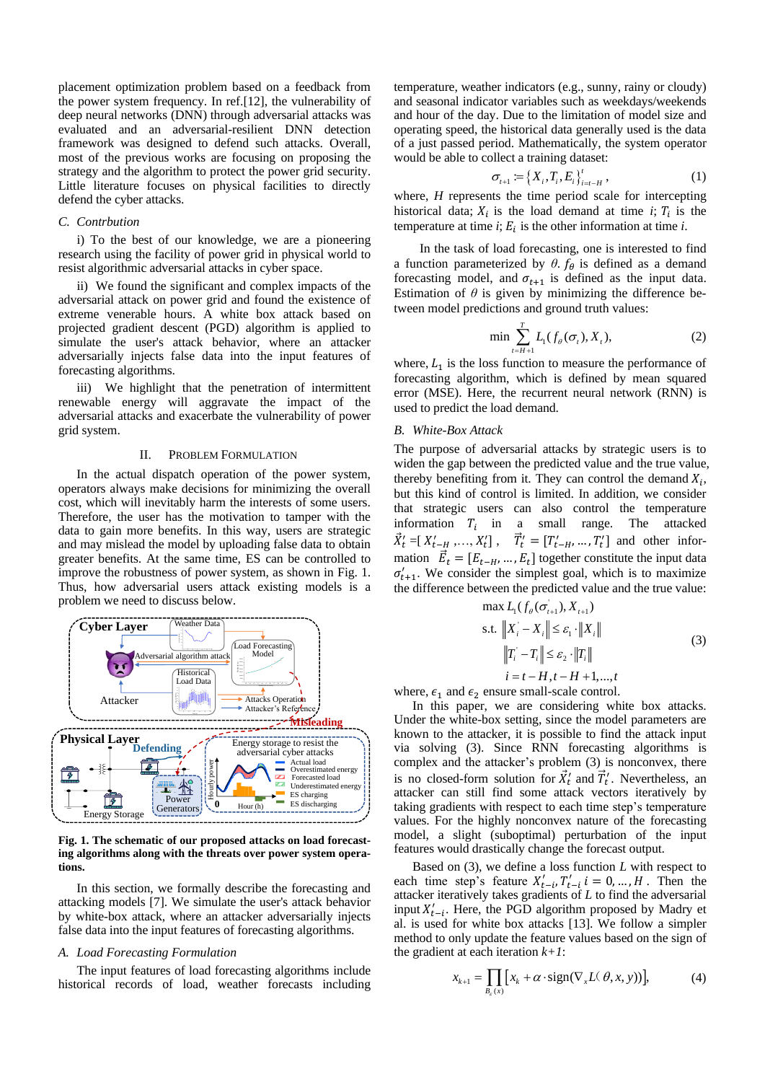placement optimization problem based on a feedback from the power system frequency. In ref[.\[12\],](#page-4-11) the vulnerability of deep neural networks (DNN) through adversarial attacks was evaluated and an adversarial-resilient DNN detection framework was designed to defend such attacks. Overall, most of the previous works are focusing on proposing the strategy and the algorithm to protect the power grid security. Little literature focuses on physical facilities to directly defend the cyber attacks.

#### *C. Contrbution*

i) To the best of our knowledge, we are a pioneering research using the facility of power grid in physical world to resist algorithmic adversarial attacks in cyber space.

ii) We found the significant and complex impacts of the adversarial attack on power grid and found the existence of extreme venerable hours. A white box attack based on projected gradient descent (PGD) algorithm is applied to simulate the user's attack behavior, where an attacker adversarially injects false data into the input features of forecasting algorithms.

iii) We highlight that the penetration of intermittent renewable energy will aggravate the impact of the adversarial attacks and exacerbate the vulnerability of power grid system.

#### II. PROBLEM FORMULATION

In the actual dispatch operation of the power system, operators always make decisions for minimizing the overall cost, which will inevitably harm the interests of some users. Therefore, the user has the motivation to tamper with the data to gain more benefits. In this way, users are strategic and may mislead the model by uploading false data to obtain greater benefits. At the same time, ES can be controlled to improve the robustness of power system, as shown in [Fig. 1.](#page-1-0) Thus, how adversarial users attack existing models is a problem we need to discuss below.



<span id="page-1-0"></span>**Fig. 1. The schematic of our proposed attacks on load forecasting algorithms along with the threats over power system operations.**

In this section, we formally describe the forecasting and attacking models [\[7\].](#page-4-6) We simulate the user's attack behavior by white-box attack, where an attacker adversarially injects false data into the input features of forecasting algorithms.

#### *A. Load Forecasting Formulation*

The input features of load forecasting algorithms include historical records of load, weather forecasts including temperature, weather indicators (e.g., sunny, rainy or cloudy) and seasonal indicator variables such as weekdays/weekends and hour of the day. Due to the limitation of model size and operating speed, the historical data generally used is the data of a just passed period. Mathematically, the system operator would be able to collect a training dataset:

$$
\sigma_{t+1} := \left\{ X_i, T_i, E_i \right\}_{i=t-H}^t, \tag{1}
$$

where, *H* represents the time period scale for intercepting historical data;  $X_i$  is the load demand at time  $i$ ;  $T_i$  is the temperature at time  $i$ ;  $E_i$  is the other information at time  $i$ .

In the task of load forecasting, one is interested to find a function parameterized by  $\theta$ .  $f_{\theta}$  is defined as a demand forecasting model, and  $\sigma_{t+1}$  is defined as the input data. Estimation of  $\theta$  is given by minimizing the difference between model predictions and ground truth values:

$$
\min \sum_{t=H+1}^{T} L_1(f_{\theta}(\sigma_t), X_t), \tag{2}
$$

where,  $L_1$  is the loss function to measure the performance of forecasting algorithm, which is defined by mean squared error (MSE). Here, the recurrent neural network (RNN) is used to predict the load demand.

## *B. White-Box Attack*

The purpose of adversarial attacks by strategic users is to widen the gap between the predicted value and the true value, thereby benefiting from it. They can control the demand  $X_i$ , but this kind of control is limited. In addition, we consider that strategic users can also control the temperature information  $T_i$  in a small range. The attacked  $\vec{X}'_t = [X'_{t-H},...,X'_t], \quad \vec{T}'_t = [T'_{t-H},...,T'_t]$  and other information  $\vec{E}_t = [E_{t-H}, ..., E_t]$  together constitute the input data  $\sigma'_{t+1}$ . We consider the simplest goal, which is to maximize the difference between the predicted value and the true value:

max 
$$
L_1(f_\theta(\sigma_{t+1}), X_{t+1})
$$
  
s.t.  $||X_i - X_i|| \le \varepsilon_1 \cdot ||X_i||$   
 $||T_i - T_i|| \le \varepsilon_2 \cdot ||T_i||$   
 $i = t - H, t - H + 1, ..., t$  (3)

where,  $\epsilon_1$  and  $\epsilon_2$  ensure small-scale control.

In this paper, we are considering white box attacks. Under the white-box setting, since the model parameters are known to the attacker, it is possible to find the attack input via solving (3). Since RNN forecasting algorithms is complex and the attacker's problem (3) is nonconvex, there is no closed-form solution for  $\vec{X}'_t$  and  $\vec{T}'_t$ . Nevertheless, an attacker can still find some attack vectors iteratively by taking gradients with respect to each time step's temperature values. For the highly nonconvex nature of the forecasting model, a slight (suboptimal) perturbation of the input features would drastically change the forecast output.

Based on (3), we define a loss function *L* with respect to each time step's feature  $X'_{t-i}, T'_{t-i}$   $i = 0, ..., H$ . Then the attacker iteratively takes gradients of *L* to find the adversarial input  $X'_{t-i}$ . Here, the PGD algorithm proposed by Madry et al. is used for white box attacks [\[13\].](#page-4-12) We follow a simpler method to only update the feature values based on the sign of the gradient at each iteration *k+1*:

$$
x_{k+1} = \prod_{B_{\varepsilon}(x)} [x_k + \alpha \cdot \text{sign}(\nabla_x L(\theta, x, y))], \tag{4}
$$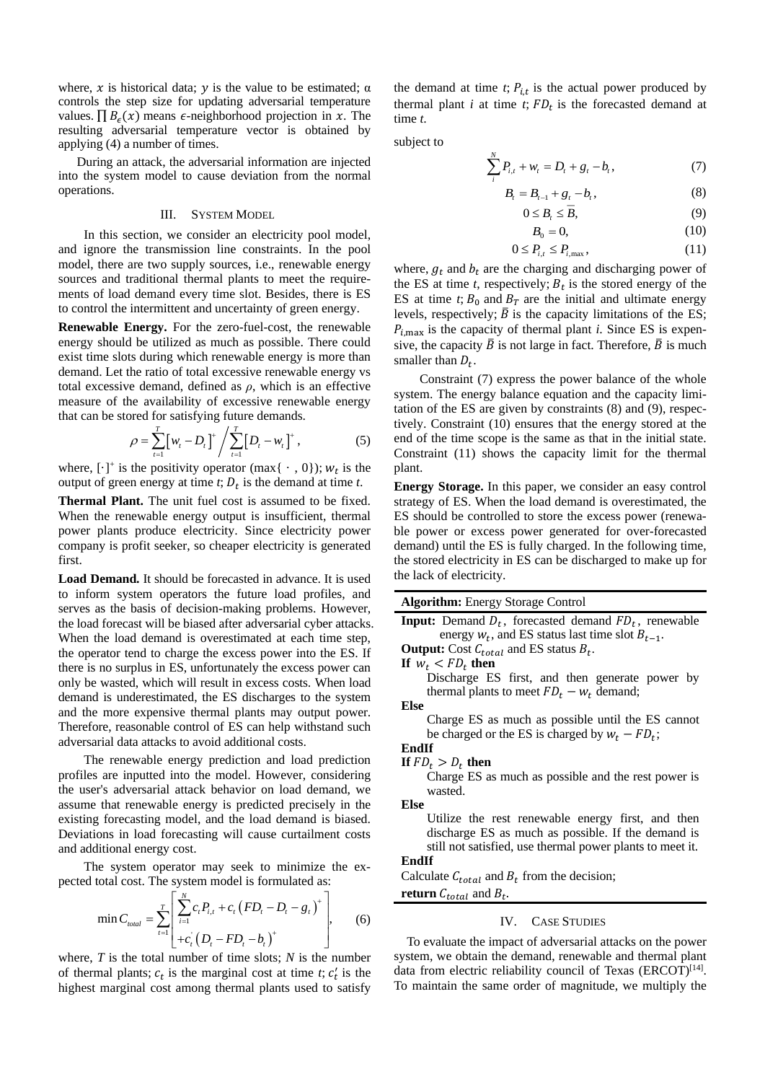where, x is historical data;  $\nu$  is the value to be estimated;  $\alpha$ controls the step size for updating adversarial temperature values.  $\prod B_{\epsilon}(x)$  means  $\epsilon$ -neighborhood projection in x. The resulting adversarial temperature vector is obtained by applying (4) a number of times.

During an attack, the adversarial information are injected into the system model to cause deviation from the normal operations.

#### III. SYSTEM MODEL

In this section, we consider an electricity pool model, and ignore the transmission line constraints. In the pool model, there are two supply sources, i.e., renewable energy sources and traditional thermal plants to meet the requirements of load demand every time slot. Besides, there is ES to control the intermittent and uncertainty of green energy.

**Renewable Energy.** For the zero-fuel-cost, the renewable energy should be utilized as much as possible. There could exist time slots during which renewable energy is more than demand. Let the ratio of total excessive renewable energy vs total excessive demand, defined as  $\rho$ , which is an effective measure of the availability of excessive renewable energy that can be stored for satisfying future demands.

$$
\rho = \sum_{t=1}^{T} \left[ w_t - D_t \right]^+ / \sum_{t=1}^{T} \left[ D_t - w_t \right]^+, \tag{5}
$$

where,  $[\cdot]^+$  is the positivity operator (max $\{\cdot, 0\}$ );  $w_t$  is the output of green energy at time  $t$ ;  $D_t$  is the demand at time  $t$ .

**Thermal Plant.** The unit fuel cost is assumed to be fixed. When the renewable energy output is insufficient, thermal power plants produce electricity. Since electricity power company is profit seeker, so cheaper electricity is generated first.

**Load Demand.** It should be forecasted in advance. It is used to inform system operators the future load profiles, and serves as the basis of decision-making problems. However, the load forecast will be biased after adversarial cyber attacks. When the load demand is overestimated at each time step, the operator tend to charge the excess power into the ES. If there is no surplus in ES, unfortunately the excess power can only be wasted, which will result in excess costs. When load demand is underestimated, the ES discharges to the system and the more expensive thermal plants may output power. Therefore, reasonable control of ES can help withstand such adversarial data attacks to avoid additional costs.

The renewable energy prediction and load prediction profiles are inputted into the model. However, considering the user's adversarial attack behavior on load demand, we assume that renewable energy is predicted precisely in the existing forecasting model, and the load demand is biased. Deviations in load forecasting will cause curtailment costs and additional energy cost.

The system operator may seek to minimize the expected total cost. The system model is formulated as:

$$
\min C_{\text{total}} = \sum_{t=1}^{T} \left[ \sum_{i=1}^{N} c_{t} P_{i,t} + c_{t} \left( F D_{t} - D_{t} - g_{t} \right)^{+} \right], \quad (6)
$$

where, *T* is the total number of time slots; *N* is the number of thermal plants;  $c_t$  is the marginal cost at time  $t$ ;  $c'_t$  is the highest marginal cost among thermal plants used to satisfy

the demand at time  $t$ ;  $P_{i,t}$  is the actual power produced by thermal plant  $i$  at time  $t$ ;  $FD_t$  is the forecasted demand at time *t*.

subject to

$$
\sum_{i}^{N} P_{i,t} + w_t = D_t + g_t - b_t, \tag{7}
$$

$$
B_t = B_{t-1} + g_t - b_t, \tag{8}
$$

$$
0 \le B_{\iota} \le \overline{B},\tag{9}
$$

$$
B_0 = 0,\t\t(10)
$$

$$
0 \le P_{i,t} \le P_{i,\text{max}},\tag{11}
$$

where,  $g_t$  and  $b_t$  are the charging and discharging power of the ES at time  $t$ , respectively;  $B_t$  is the stored energy of the ES at time *t*;  $B_0$  and  $B_T$  are the initial and ultimate energy levels, respectively;  $\overline{B}$  is the capacity limitations of the ES;  $P_{i,\text{max}}$  is the capacity of thermal plant *i*. Since ES is expensive, the capacity  $\overline{B}$  is not large in fact. Therefore,  $\overline{B}$  is much smaller than  $D_t$ .

Constraint (7) express the power balance of the whole system. The energy balance equation and the capacity limitation of the ES are given by constraints (8) and (9), respectively. Constraint (10) ensures that the energy stored at the end of the time scope is the same as that in the initial state. Constraint (11) shows the capacity limit for the thermal plant.

**Energy Storage.** In this paper, we consider an easy control strategy of ES. When the load demand is overestimated, the ES should be controlled to store the excess power (renewable power or excess power generated for over-forecasted demand) until the ES is fully charged. In the following time, the stored electricity in ES can be discharged to make up for the lack of electricity.

To evaluate the impact of adversarial attacks on the power system, we obtain the demand, renewable and thermal plant data from electric reliability council of Texas (ERCOT)<sup>[\[14\]](#page-4-13)</sup>. To maintain the same order of magnitude, we multiply the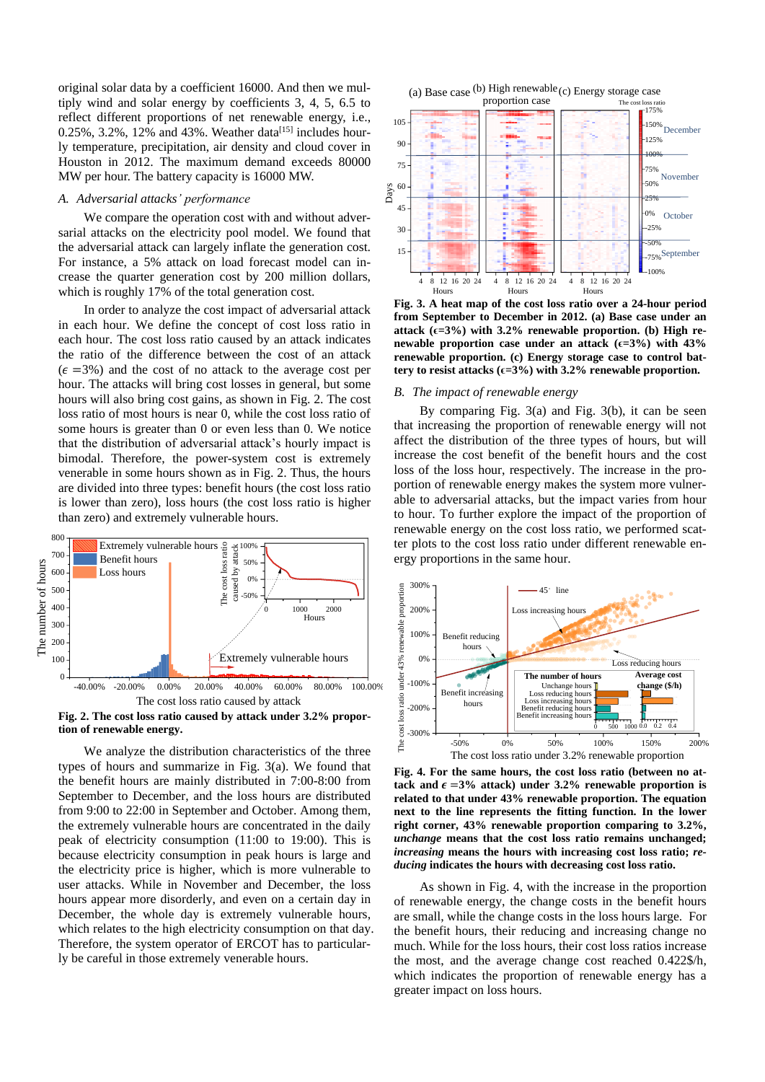original solar data by a coefficient 16000. And then we multiply wind and solar energy by coefficients 3, 4, 5, 6.5 to reflect different proportions of net renewable energy, i.e.,  $0.25\%$ ,  $3.2\%$ ,  $12\%$  and  $43\%$ . Weather data<sup>[\[15\]](#page-4-14)</sup> includes hourly temperature, precipitation, air density and cloud cover in Houston in 2012. The maximum demand exceeds 80000 MW per hour. The battery capacity is 16000 MW.

#### *A. Adversarial attacks' performance*

We compare the operation cost with and without adversarial attacks on the electricity pool model. We found that the adversarial attack can largely inflate the generation cost. For instance, a 5% attack on load forecast model can increase the quarter generation cost by 200 million dollars, which is roughly 17% of the total generation cost.

In order to analyze the cost impact of adversarial attack in each hour. We define the concept of cost loss ratio in each hour. The cost loss ratio caused by an attack indicates the ratio of the difference between the cost of an attack  $(\epsilon = 3\%)$  and the cost of no attack to the average cost per hour. The attacks will bring cost losses in general, but some hours will also bring cost gains, as shown in [Fig. 2.](#page-3-0) The cost loss ratio of most hours is near 0, while the cost loss ratio of some hours is greater than 0 or even less than 0. We notice that the distribution of adversarial attack's hourly impact is bimodal. Therefore, the power-system cost is extremely venerable in some hours shown as in Fig. 2. Thus, the hours are divided into three types: benefit hours (the cost loss ratio is lower than zero), loss hours (the cost loss ratio is higher than zero) and extremely vulnerable hours.



<span id="page-3-0"></span>**Fig. 2. The cost loss ratio caused by attack under 3.2% proportion of renewable energy.**

We analyze the distribution characteristics of the three types of hours and summarize in [Fig. 3\(](#page-3-1)a). We found that the benefit hours are mainly distributed in 7:00-8:00 from September to December, and the loss hours are distributed from 9:00 to 22:00 in September and October. Among them, the extremely vulnerable hours are concentrated in the daily peak of electricity consumption (11:00 to 19:00). This is because electricity consumption in peak hours is large and the electricity price is higher, which is more vulnerable to user attacks. While in November and December, the loss hours appear more disorderly, and even on a certain day in December, the whole day is extremely vulnerable hours, which relates to the high electricity consumption on that day. Therefore, the system operator of ERCOT has to particularly be careful in those extremely venerable hours.



<span id="page-3-1"></span>**Fig. 3. A heat map of the cost loss ratio over a 24-hour period from September to December in 2012. (a) Base case under an**  attack  $(\epsilon = 3\%)$  with 3.2% renewable proportion. (b) High re**newable proportion case under an attack (ϵ=3%) with 43% renewable proportion. (c) Energy storage case to control battery to resist attacks (ϵ=3%) with 3.2% renewable proportion.**

#### *B. The impact of renewable energy*

By comparing [Fig. 3\(](#page-3-1)a) and [Fig. 3\(](#page-3-1)b), it can be seen that increasing the proportion of renewable energy will not affect the distribution of the three types of hours, but will increase the cost benefit of the benefit hours and the cost loss of the loss hour, respectively. The increase in the proportion of renewable energy makes the system more vulnerable to adversarial attacks, but the impact varies from hour to hour. To further explore the impact of the proportion of renewable energy on the cost loss ratio, we performed scatter plots to the cost loss ratio under different renewable energy proportions in the same hour.



<span id="page-3-2"></span>**Fig. 4. For the same hours, the cost loss ratio (between no at**tack and  $\epsilon = 3\%$  attack) under 3.2% renewable proportion is **related to that under 43% renewable proportion. The equation next to the line represents the fitting function. In the lower right corner, 43% renewable proportion comparing to 3.2%,**  *unchange* **means that the cost loss ratio remains unchanged;**  *increasing* **means the hours with increasing cost loss ratio;** *reducing* **indicates the hours with decreasing cost loss ratio.**

As shown in [Fig. 4,](#page-3-2) with the increase in the proportion of renewable energy, the change costs in the benefit hours are small, while the change costs in the loss hours large. For the benefit hours, their reducing and increasing change no much. While for the loss hours, their cost loss ratios increase the most, and the average change cost reached 0.422\$/h, which indicates the proportion of renewable energy has a greater impact on loss hours.